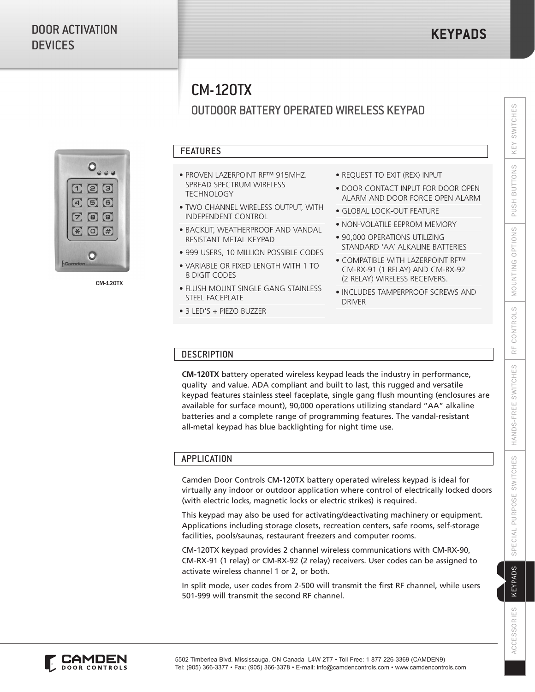# CM-120TX

# OUTDOOR BATTERY OPERATED WIRELESS KEYPAD



CM-120TX

# FEATURES

- PROVEN LAZERPOINT RF™ 915MHZ. SPREAD SPECTRUM WIRELESS **TECHNOLOGY**
- TWO CHANNEL WIRELESS OUTPUT, WITH INDEPENDENT CONTROL
- BACKLIT, WEATHERPROOF AND VANDAL RESISTANT METAL KEYPAD
- 999 USERS, 10 MILLION POSSIBLE CODES
- VARIABLE OR FIXED LENGTH WITH 1 TO 8 DIGIT CODES
- FLUSH MOUNT SINGLE GANG STAINLESS STEEL FACEPLATE
- 3 LED'S + PIEZO BUZZER
- REQUEST TO EXIT (REX) INPUT
- DOOR CONTACT INPUT FOR DOOR OPEN ALARM AND DOOR FORCE OPEN ALARM
- GLOBAL LOCK-OUT FEATURE
- NON-VOLATILE EEPROM MEMORY
- 90,000 OPERATIONS UTILIZING STANDARD 'AA' ALKALINE BATTERIES
- COMPATIBLE WITH LAZERPOINT RF™ CM-RX-91 (1 RELAY) AND CM-RX-92 (2 RELAY) WIRELESS RECEIVERS.
- INCLUDES TAMPERPROOF SCREWS AND DRIVER

# **DESCRIPTION**

**CM-120TX** battery operated wireless keypad leads the industry in performance, quality and value. ADA compliant and built to last, this rugged and versatile keypad features stainless steel faceplate, single gang flush mounting (enclosures are available for surface mount), 90,000 operations utilizing standard "AA" alkaline batteries and a complete range of programming features. The vandal-resistant all-metal keypad has blue backlighting for night time use.

## **APPLICATION**

Camden Door Controls CM-120TX battery operated wireless keypad is ideal for virtually any indoor or outdoor application where control of electrically locked doors (with electric locks, magnetic locks or electric strikes) is required.

This keypad may also be used for activating/deactivating machinery or equipment. Applications including storage closets, recreation centers, safe rooms, self-storage facilities, pools/saunas, restaurant freezers and computer rooms.

CM-120TX keypad provides 2 channel wireless communications with CM-RX-90, CM-RX-91 (1 relay) or CM-RX-92 (2 relay) receivers. User codes can be assigned to activate wireless channel 1 or 2, or both.

In split mode, user codes from 2-500 will transmit the first RF channel, while users 501-999 will transmit the second RF channel.

**ACCESSORIES**